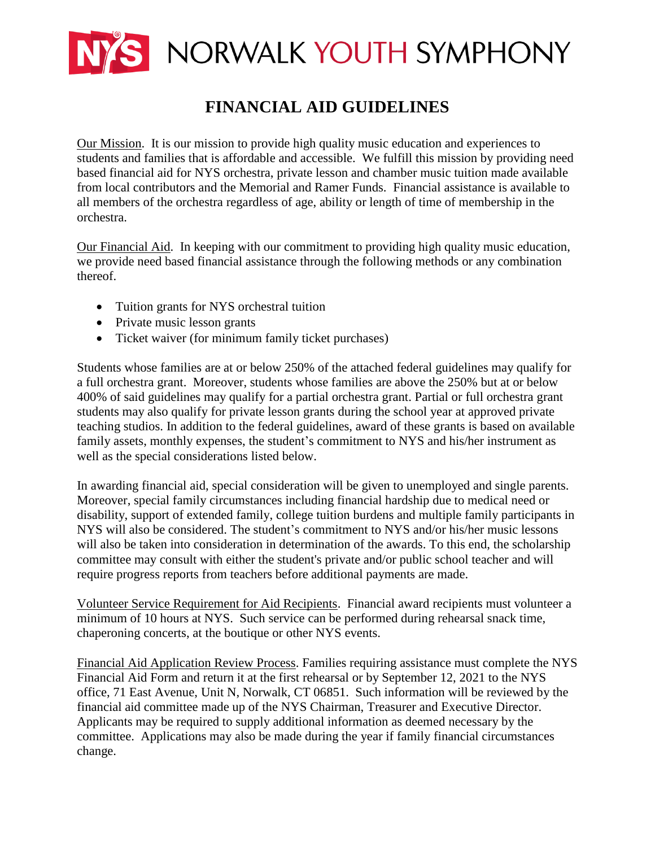

# **FINANCIAL AID GUIDELINES**

Our Mission. It is our mission to provide high quality music education and experiences to students and families that is affordable and accessible. We fulfill this mission by providing need based financial aid for NYS orchestra, private lesson and chamber music tuition made available from local contributors and the Memorial and Ramer Funds. Financial assistance is available to all members of the orchestra regardless of age, ability or length of time of membership in the orchestra.

Our Financial Aid. In keeping with our commitment to providing high quality music education, we provide need based financial assistance through the following methods or any combination thereof.

- Tuition grants for NYS orchestral tuition
- Private music lesson grants
- Ticket waiver (for minimum family ticket purchases)

Students whose families are at or below 250% of the attached federal guidelines may qualify for a full orchestra grant. Moreover, students whose families are above the 250% but at or below 400% of said guidelines may qualify for a partial orchestra grant. Partial or full orchestra grant students may also qualify for private lesson grants during the school year at approved private teaching studios. In addition to the federal guidelines, award of these grants is based on available family assets, monthly expenses, the student's commitment to NYS and his/her instrument as well as the special considerations listed below.

In awarding financial aid, special consideration will be given to unemployed and single parents. Moreover, special family circumstances including financial hardship due to medical need or disability, support of extended family, college tuition burdens and multiple family participants in NYS will also be considered. The student's commitment to NYS and/or his/her music lessons will also be taken into consideration in determination of the awards. To this end, the scholarship committee may consult with either the student's private and/or public school teacher and will require progress reports from teachers before additional payments are made.

Volunteer Service Requirement for Aid Recipients. Financial award recipients must volunteer a minimum of 10 hours at NYS. Such service can be performed during rehearsal snack time, chaperoning concerts, at the boutique or other NYS events.

Financial Aid Application Review Process. Families requiring assistance must complete the NYS Financial Aid Form and return it at the first rehearsal or by September 12, 2021 to the NYS office, 71 East Avenue, Unit N, Norwalk, CT 06851. Such information will be reviewed by the financial aid committee made up of the NYS Chairman, Treasurer and Executive Director. Applicants may be required to supply additional information as deemed necessary by the committee. Applications may also be made during the year if family financial circumstances change.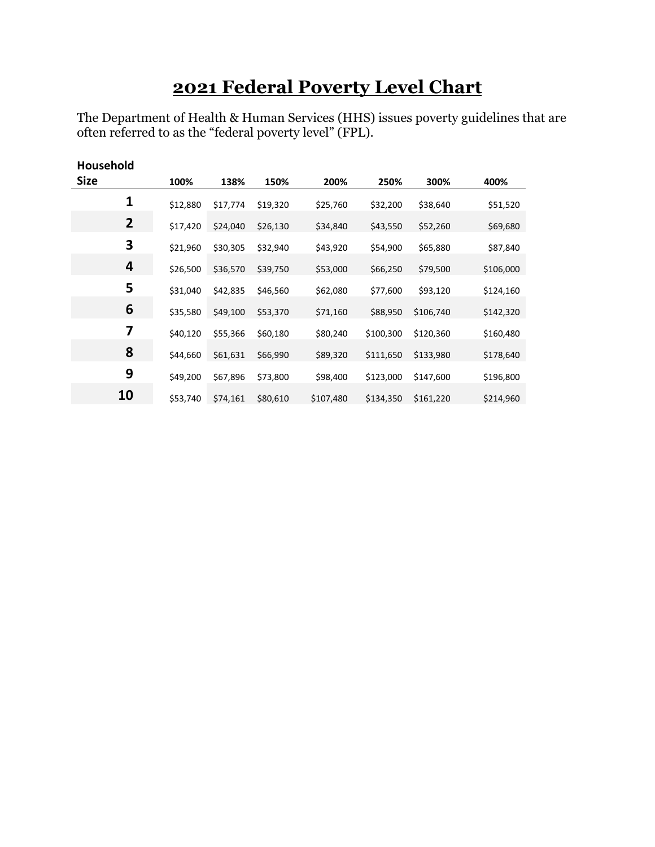# **Federal Poverty Level Chart**

The Department of Health & Human Services (HHS) issues poverty guidelines that are often referred to as the "federal poverty level" (FPL).

| <b>Household</b> |          |          |          |           |           |           |           |
|------------------|----------|----------|----------|-----------|-----------|-----------|-----------|
| <b>Size</b>      | 100%     | 138%     | 150%     | 200%      | 250%      | 300%      | 400%      |
| 1                | \$12,880 | \$17,774 | \$19,320 | \$25,760  | \$32,200  | \$38,640  | \$51,520  |
| $\overline{2}$   | \$17,420 | \$24,040 | \$26,130 | \$34,840  | \$43,550  | \$52,260  | \$69,680  |
| 3                | \$21,960 | \$30,305 | \$32,940 | \$43,920  | \$54,900  | \$65,880  | \$87,840  |
| 4                | \$26,500 | \$36,570 | \$39,750 | \$53,000  | \$66,250  | \$79,500  | \$106,000 |
| 5                | \$31,040 | \$42,835 | \$46,560 | \$62,080  | \$77,600  | \$93,120  | \$124,160 |
| 6                | \$35,580 | \$49,100 | \$53,370 | \$71,160  | \$88,950  | \$106,740 | \$142,320 |
| 7                | \$40,120 | \$55,366 | \$60,180 | \$80,240  | \$100,300 | \$120,360 | \$160,480 |
| 8                | \$44,660 | \$61,631 | \$66,990 | \$89,320  | \$111,650 | \$133,980 | \$178,640 |
| 9                | \$49,200 | \$67,896 | \$73,800 | \$98,400  | \$123,000 | \$147,600 | \$196,800 |
| 10               | \$53,740 | \$74,161 | \$80,610 | \$107,480 | \$134,350 | \$161,220 | \$214,960 |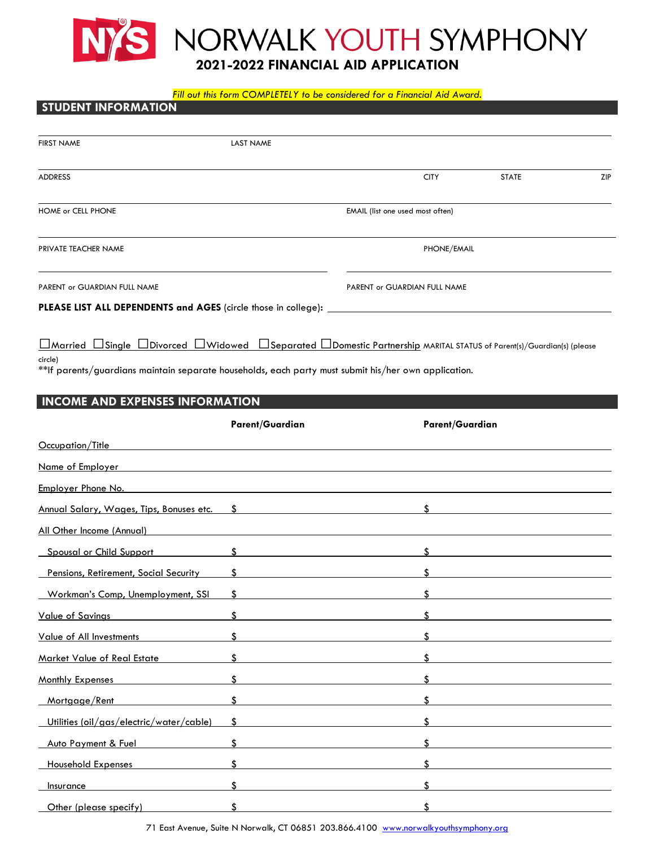

#### *Fill out this form COMPLETELY to be considered for a Financial Aid Award.*

# **STUDENT INFORMATION** FIRST NAME LAST NAME ADDRESS CITY STATE ZIP HOME or CELL PHONE EMAIL (list one used most often) **PRIVATE TEACHER NAME PHONE/EMAIL PHONE/EMAIL** PARENT or GUARDIAN FULL NAME **PARENT OF GUARDIAN FULL NAME PLEASE LIST ALL DEPENDENTS and AGES** (circle those in college)**:** ⬜Married ⬜Single ⬜Divorced ⬜Widowed ⬜Separated ⬜Domestic Partnership MARITAL STATUS of Parent(s)/Guardian(s) (please circle) \*\*If parents/guardians maintain separate households, each party must submit his/her own application. **INCOME AND EXPENSES INFORMATION Parent/Guardian Parent/Guardian** Occupation/Title Name of Employer

| Employer Phone No.                               |                    |     |
|--------------------------------------------------|--------------------|-----|
| Annual Salary, Wages, Tips, Bonuses etc. \$      |                    | \$  |
| All Other Income (Annual)                        |                    |     |
| Spousal or Child Support                         | $\mathbf{\$}$      |     |
| Pensions, Retirement, Social Security            | \$                 |     |
| Workman's Comp, Unemployment, SSI                | \$                 |     |
| <b>Value of Savings</b>                          | \$                 |     |
| <b>Value of All Investments</b>                  | \$                 | \$. |
| Market Value of Real Estate                      | $\hat{\mathbf{x}}$ |     |
| Monthly Expenses                                 | \$.                |     |
| Mortgage/Rent                                    | $\mathbf{\hat{S}}$ |     |
| <u> Utilities (oil/gas/electric/water/cable)</u> | \$                 |     |
| Auto Payment & Fuel                              | \$                 |     |
| <b>Household Expenses</b>                        |                    |     |
| Insurance                                        |                    |     |
| Other (please specify)                           |                    |     |